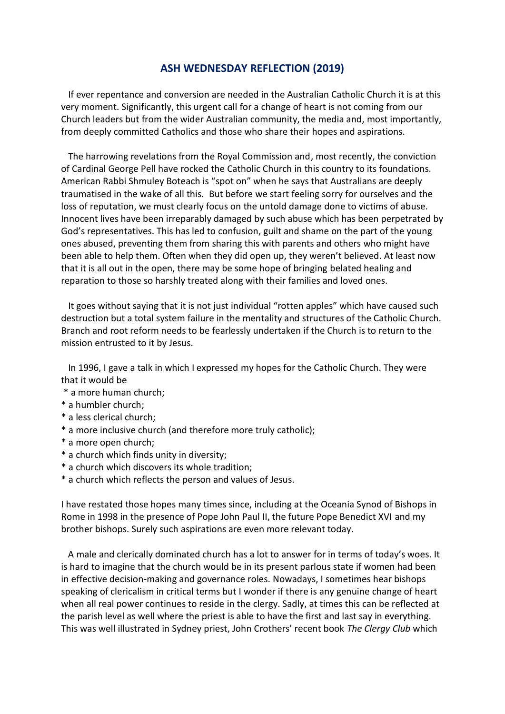## **ASH WEDNESDAY REFLECTION (2019)**

 If ever repentance and conversion are needed in the Australian Catholic Church it is at this very moment. Significantly, this urgent call for a change of heart is not coming from our Church leaders but from the wider Australian community, the media and, most importantly, from deeply committed Catholics and those who share their hopes and aspirations.

 The harrowing revelations from the Royal Commission and, most recently, the conviction of Cardinal George Pell have rocked the Catholic Church in this country to its foundations. American Rabbi Shmuley Boteach is "spot on" when he says that Australians are deeply traumatised in the wake of all this. But before we start feeling sorry for ourselves and the loss of reputation, we must clearly focus on the untold damage done to victims of abuse. Innocent lives have been irreparably damaged by such abuse which has been perpetrated by God's representatives. This has led to confusion, guilt and shame on the part of the young ones abused, preventing them from sharing this with parents and others who might have been able to help them. Often when they did open up, they weren't believed. At least now that it is all out in the open, there may be some hope of bringing belated healing and reparation to those so harshly treated along with their families and loved ones.

 It goes without saying that it is not just individual "rotten apples" which have caused such destruction but a total system failure in the mentality and structures of the Catholic Church. Branch and root reform needs to be fearlessly undertaken if the Church is to return to the mission entrusted to it by Jesus.

 In 1996, I gave a talk in which I expressed my hopes for the Catholic Church. They were that it would be

- \* a more human church;
- \* a humbler church;
- \* a less clerical church;
- \* a more inclusive church (and therefore more truly catholic);
- \* a more open church;
- \* a church which finds unity in diversity;
- \* a church which discovers its whole tradition;
- \* a church which reflects the person and values of Jesus.

I have restated those hopes many times since, including at the Oceania Synod of Bishops in Rome in 1998 in the presence of Pope John Paul II, the future Pope Benedict XVI and my brother bishops. Surely such aspirations are even more relevant today.

 A male and clerically dominated church has a lot to answer for in terms of today's woes. It is hard to imagine that the church would be in its present parlous state if women had been in effective decision-making and governance roles. Nowadays, I sometimes hear bishops speaking of clericalism in critical terms but I wonder if there is any genuine change of heart when all real power continues to reside in the clergy. Sadly, at times this can be reflected at the parish level as well where the priest is able to have the first and last say in everything. This was well illustrated in Sydney priest, John Crothers' recent book *The Clergy Club* which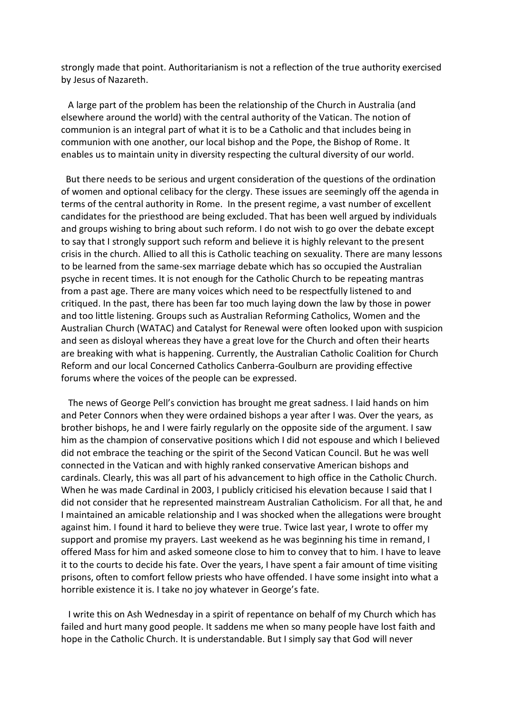strongly made that point. Authoritarianism is not a reflection of the true authority exercised by Jesus of Nazareth.

 A large part of the problem has been the relationship of the Church in Australia (and elsewhere around the world) with the central authority of the Vatican. The notion of communion is an integral part of what it is to be a Catholic and that includes being in communion with one another, our local bishop and the Pope, the Bishop of Rome. It enables us to maintain unity in diversity respecting the cultural diversity of our world.

 But there needs to be serious and urgent consideration of the questions of the ordination of women and optional celibacy for the clergy. These issues are seemingly off the agenda in terms of the central authority in Rome. In the present regime, a vast number of excellent candidates for the priesthood are being excluded. That has been well argued by individuals and groups wishing to bring about such reform. I do not wish to go over the debate except to say that I strongly support such reform and believe it is highly relevant to the present crisis in the church. Allied to all this is Catholic teaching on sexuality. There are many lessons to be learned from the same-sex marriage debate which has so occupied the Australian psyche in recent times. It is not enough for the Catholic Church to be repeating mantras from a past age. There are many voices which need to be respectfully listened to and critiqued. In the past, there has been far too much laying down the law by those in power and too little listening. Groups such as Australian Reforming Catholics, Women and the Australian Church (WATAC) and Catalyst for Renewal were often looked upon with suspicion and seen as disloyal whereas they have a great love for the Church and often their hearts are breaking with what is happening. Currently, the Australian Catholic Coalition for Church Reform and our local Concerned Catholics Canberra-Goulburn are providing effective forums where the voices of the people can be expressed.

 The news of George Pell's conviction has brought me great sadness. I laid hands on him and Peter Connors when they were ordained bishops a year after I was. Over the years, as brother bishops, he and I were fairly regularly on the opposite side of the argument. I saw him as the champion of conservative positions which I did not espouse and which I believed did not embrace the teaching or the spirit of the Second Vatican Council. But he was well connected in the Vatican and with highly ranked conservative American bishops and cardinals. Clearly, this was all part of his advancement to high office in the Catholic Church. When he was made Cardinal in 2003, I publicly criticised his elevation because I said that I did not consider that he represented mainstream Australian Catholicism. For all that, he and I maintained an amicable relationship and I was shocked when the allegations were brought against him. I found it hard to believe they were true. Twice last year, I wrote to offer my support and promise my prayers. Last weekend as he was beginning his time in remand, I offered Mass for him and asked someone close to him to convey that to him. I have to leave it to the courts to decide his fate. Over the years, I have spent a fair amount of time visiting prisons, often to comfort fellow priests who have offended. I have some insight into what a horrible existence it is. I take no joy whatever in George's fate.

 I write this on Ash Wednesday in a spirit of repentance on behalf of my Church which has failed and hurt many good people. It saddens me when so many people have lost faith and hope in the Catholic Church. It is understandable. But I simply say that God will never